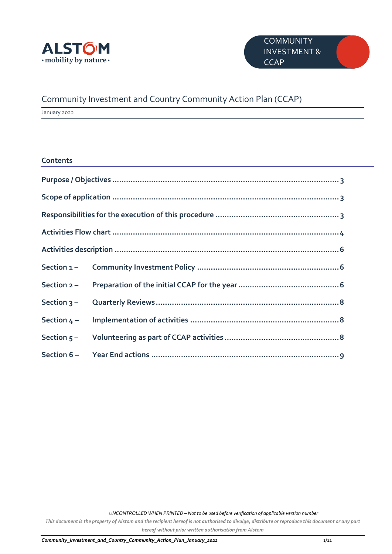

## Community Investment and Country Community Action Plan (CCAP)

January 2022

#### **Contents**

*UNCONTROLLED WHEN PRINTED – Not to be used before verification of applicable version number*

*This document is the property of Alstom and the recipient hereof is not authorised to divulge, distribute or reproduce this document or any part hereof without prior written authorisation from Alstom*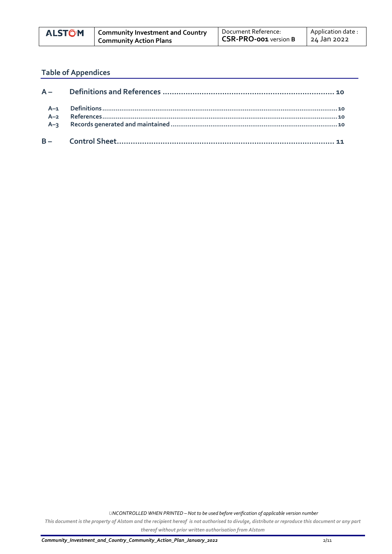| <b>ALSTÔM</b> | <sup>1</sup> Community Investment and Country | Document Reference:          | Application date: |
|---------------|-----------------------------------------------|------------------------------|-------------------|
|               | <b>Community Action Plans</b>                 | <b>CSR-PRO-001 version B</b> | 24 Jan 2022       |

## **Table of Appendices**

*UNCONTROLLED WHEN PRINTED – Not to be used before verification of applicable version number*

*This document is the property of Alstom and the recipient hereof is not authorised to divulge, distribute or reproduce this document or any part thereof without prior written authorisation from Alstom*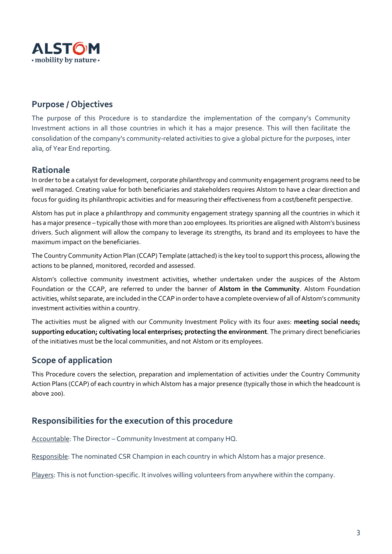

#### <span id="page-2-0"></span>**Purpose / Objectives**

The purpose of this Procedure is to standardize the implementation of the company's Community Investment actions in all those countries in which it has a major presence. This will then facilitate the consolidation of the company's community-related activities to give a global picture for the purposes, inter alia, of Year End reporting.

#### **Rationale**

In order to be a catalyst for development, corporate philanthropy and community engagement programs need to be well managed. Creating value for both beneficiaries and stakeholders requires Alstom to have a clear direction and focus for guiding its philanthropic activities and for measuring their effectiveness from a cost/benefit perspective.

Alstom has put in place a philanthropy and community engagement strategy spanning all the countries in which it has a major presence – typically those with more than 200 employees. Its priorities are aligned with Alstom's business drivers. Such alignment will allow the company to leverage its strengths, its brand and its employees to have the maximum impact on the beneficiaries.

The Country Community Action Plan (CCAP) Template (attached) is the key tool to support this process, allowing the actions to be planned, monitored, recorded and assessed.

Alstom's collective community investment activities, whether undertaken under the auspices of the Alstom Foundation or the CCAP, are referred to under the banner of **Alstom in the Community**. Alstom Foundation activities, whilst separate, are included in the CCAP in order to have a complete overview of all of Alstom's community investment activities within a country.

The activities must be aligned with our Community Investment Policy with its four axes: **meeting social needs; supporting education; cultivating local enterprises; protecting the environment**. The primary direct beneficiaries of the initiatives must be the local communities, and not Alstom or its employees.

#### <span id="page-2-1"></span>**Scope of application**

This Procedure covers the selection, preparation and implementation of activities under the Country Community Action Plans (CCAP) of each country in which Alstom has a major presence (typically those in which the headcount is above 200).

#### <span id="page-2-2"></span>**Responsibilities for the execution of this procedure**

Accountable: The Director – Community Investment at company HQ.

Responsible: The nominated CSR Champion in each country in which Alstom has a major presence.

Players: This is not function-specific. It involves willing volunteers from anywhere within the company.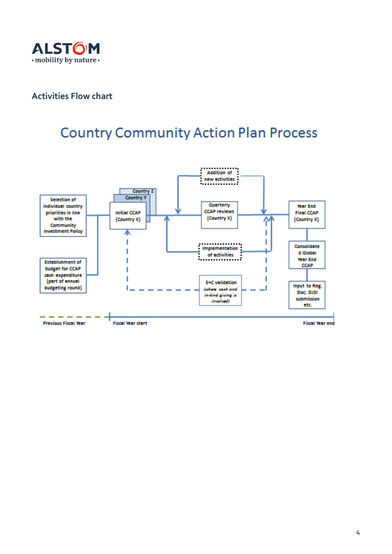

#### <span id="page-3-0"></span>**Activities Flow chart**

# **Country Community Action Plan Process**

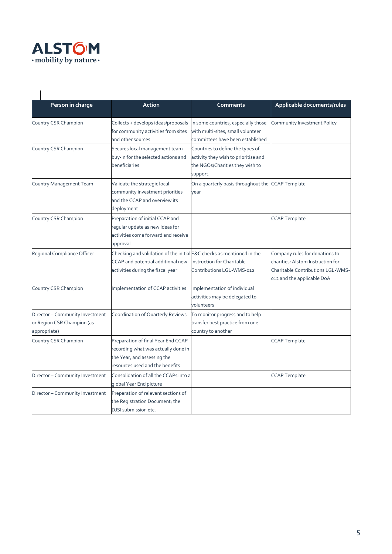

| Person in charge                                                                                                                          | Action                                                                                                                                          | Comments                                                                                                                | Applicable documents/rules                                                                                                             |
|-------------------------------------------------------------------------------------------------------------------------------------------|-------------------------------------------------------------------------------------------------------------------------------------------------|-------------------------------------------------------------------------------------------------------------------------|----------------------------------------------------------------------------------------------------------------------------------------|
| Country CSR Champion                                                                                                                      | Collects + develops ideas/proposals<br>for community activities from sites<br>and other sources                                                 | In some countries, especially those<br>with multi-sites, small volunteer<br>committees have been established            | Community Investment Policy                                                                                                            |
| Country CSR Champion                                                                                                                      | Secures local management team<br>buy-in for the selected actions and<br>beneficiaries                                                           | Countries to define the types of<br>activity they wish to prioritise and<br>the NGOs/Charities they wish to<br>support. |                                                                                                                                        |
| Country Management Team<br>Validate the strategic local<br>community investment priorities<br>and the CCAP and overview its<br>deployment |                                                                                                                                                 | On a quarterly basis throughout the CCAP Template<br>year                                                               |                                                                                                                                        |
| Country CSR Champion                                                                                                                      | Preparation of initial CCAP and<br>regular update as new ideas for<br>activities come forward and receive<br>approval                           |                                                                                                                         | <b>CCAP Template</b>                                                                                                                   |
| Regional Compliance Officer                                                                                                               | Checking and validation of the initial E&C checks as mentioned in the<br>CCAP and potential additional new<br>activities during the fiscal year | <b>Instruction for Charitable</b><br>Contributions LGL-WMS-012                                                          | Company rules for donations to<br>charities: Alstom Instruction for<br>Charitable Contributions LGL-WMS-<br>012 and the applicable DoA |
| Country CSR Champion                                                                                                                      | Implementation of CCAP activities                                                                                                               | Implementation of individual<br>activities may be delegated to<br>volunteers                                            |                                                                                                                                        |
| Director - Community Investment<br>or Region CSR Champion (as<br>appropriate)                                                             | Coordination of Quarterly Reviews                                                                                                               | To monitor progress and to help<br>transfer best practice from one<br>country to another                                |                                                                                                                                        |
| Country CSR Champion                                                                                                                      | Preparation of final Year End CCAP<br>recording what was actually done in<br>the Year, and assessing the<br>esources used and the benefits      |                                                                                                                         | <b>CCAP Template</b>                                                                                                                   |
| Director - Community Investment                                                                                                           | Consolidation of all the CCAPs into a<br>global Year End picture                                                                                |                                                                                                                         | <b>CCAP Template</b>                                                                                                                   |
| Director - Community Investment                                                                                                           | Preparation of relevant sections of<br>the Registration Document; the<br>DJSI submission etc.                                                   |                                                                                                                         |                                                                                                                                        |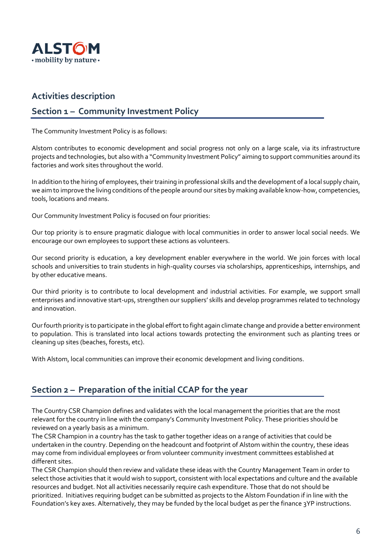

#### <span id="page-5-0"></span>**Activities description**

#### <span id="page-5-1"></span>**Section 1 – Community Investment Policy**

The Community Investment Policy is as follows:

Alstom contributes to economic development and social progress not only on a large scale, via its infrastructure projects and technologies, but also with a "Community Investment Policy" aiming to support communities around its factories and work sites throughout the world.

In addition to the hiring of employees, their training in professional skills and the development of a local supply chain, we aim to improve the living conditions of the people around our sites by making available know-how, competencies, tools, locations and means.

Our Community Investment Policy is focused on four priorities:

Our top priority is to ensure pragmatic dialogue with local communities in order to answer local social needs. We encourage our own employees to support these actions as volunteers.

Our second priority is education, a key development enabler everywhere in the world. We join forces with local schools and universities to train students in high-quality courses via scholarships, apprenticeships, internships, and by other educative means.

Our third priority is to contribute to local development and industrial activities. For example, we support small enterprises and innovative start-ups, strengthen our suppliers' skills and develop programmes related to technology and innovation.

Our fourth priority is to participate in the global effort to fight again climate change and provide a better environment to population. This is translated into local actions towards protecting the environment such as planting trees or cleaning up sites (beaches, forests, etc).

With Alstom, local communities can improve their economic development and living conditions.

#### <span id="page-5-2"></span>**Section 2 – Preparation of the initial CCAP for the year**

The Country CSR Champion defines and validates with the local management the priorities that are the most relevant for the country in line with the company's Community Investment Policy. These priorities should be reviewed on a yearly basis as a minimum.

The CSR Champion in a country has the task to gather together ideas on a range of activities that could be undertaken in the country. Depending on the headcount and footprint of Alstom within the country, these ideas may come from individual employees or from volunteer community investment committees established at different sites.

The CSR Champion should then review and validate these ideas with the Country Management Team in order to select those activities that it would wish to support, consistent with local expectations and culture and the available resources and budget. Not all activities necessarily require cash expenditure. Those that do not should be prioritized. Initiatives requiring budget can be submitted as projects to the Alstom Foundation if in line with the Foundation's key axes. Alternatively, they may be funded by the local budget as per the finance 3YP instructions.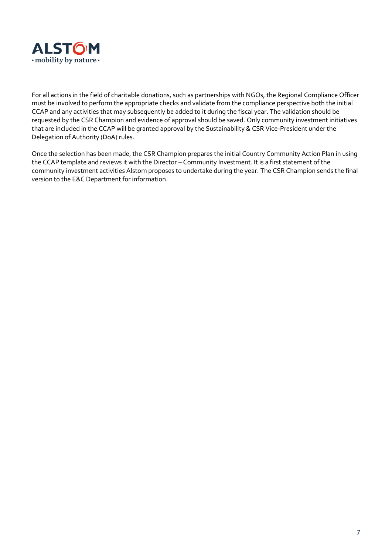

For all actions in the field of charitable donations, such as partnerships with NGOs, the Regional Compliance Officer must be involved to perform the appropriate checks and validate from the compliance perspective both the initial CCAP and any activities that may subsequently be added to it during the fiscal year. The validation should be requested by the CSR Champion and evidence of approval should be saved. Only community investment initiatives that are included in the CCAP will be granted approval by the Sustainability & CSR Vice-President under the Delegation of Authority (DoA) rules.

Once the selection has been made, the CSR Champion prepares the initial Country Community Action Plan in using the CCAP template and reviews it with the Director – Community Investment. It is a first statement of the community investment activities Alstom proposes to undertake during the year. The CSR Champion sends the final version to the E&C Department for information.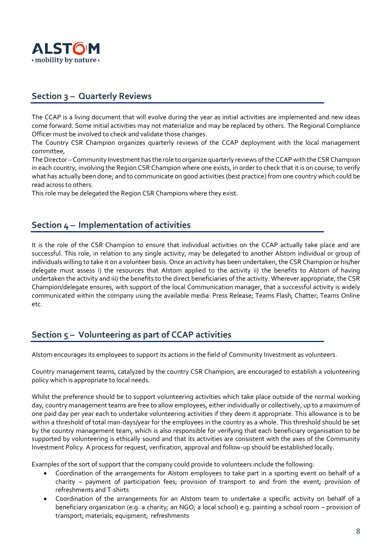

#### <span id="page-7-0"></span>**Section 3 – Quarterly Reviews**

The CCAP is a living document that will evolve during the year as initial activities are implemented and new ideas come forward. Some initial activities may not materialize and may be replaced by others. The Regional Compliance Officer must be involved to check and validate those changes.

The Country CSR Champion organizes quarterly reviews of the CCAP deployment with the local management committee,

The Director – Community Investment has the role to organize quarterly reviews of the CCAP with the CSR Champion in each country, involving the Region CSR Champion where one exists, in order to check that it is on course; to verify what has actually been done; and to communicate on good activities (best practice) from one country which could be read across to others.

This role may be delegated the Region CSR Champions where they exist.

#### <span id="page-7-1"></span>**Section 4 – Implementation of activities**

It is the role of the CSR Champion to ensure that individual activities on the CCAP actually take place and are successful. This role, in relation to any single activity, may be delegated to another Alstom individual or group of individuals willing to take it on a volunteer basis. Once an activity has been undertaken, the CSR Champion or his/her delegate must assess i) the resources that Alstom applied to the activity ii) the benefits to Alstom of having undertaken the activity and iii) the benefits to the direct beneficiaries of the activity. Wherever appropriate, the CSR Champion/delegate ensures, with support of the local Communication manager, that a successful activity is widely communicated within the company using the available media: Press Release; Teams Flash; Chatter; Teams Online etc.

#### <span id="page-7-2"></span>**Section 5 – Volunteering as part of CCAP activities**

Alstom encourages its employees to support its actions in the field of Community Investment as volunteers.

Country management teams, catalyzed by the country CSR Champion, are encouraged to establish a volunteering policy which is appropriate to local needs.

Whilst the preference should be to support volunteering activities which take place outside of the normal working day, country management teams are free to allow employees, either individually or collectively, up to a maximum of one paid day per year each to undertake volunteering activities if they deem it appropriate. This allowance is to be within a threshold of total man-days/year for the employees in the country as a whole. This threshold should be set by the country management team, which is also responsible for verifying that each beneficiary organisation to be supported by volunteering is ethically sound and that its activities are consistent with the axes of the Community Investment Policy. A process for request, verification, approval and follow-up should be established locally.

Examples of the sort of support that the company could provide to volunteers include the following:

- Coordination of the arrangements for Alstom employees to take part in a sporting event on behalf of a charity – payment of participation fees; provision of transport to and from the event; provision of refreshments and T-shirts
- Coordination of the arrangements for an Alstom team to undertake a specific activity on behalf of a beneficiary organization (e.g. a charity; an NGO; a local school) e.g. painting a school room – provision of transport; materials; equipment; refreshments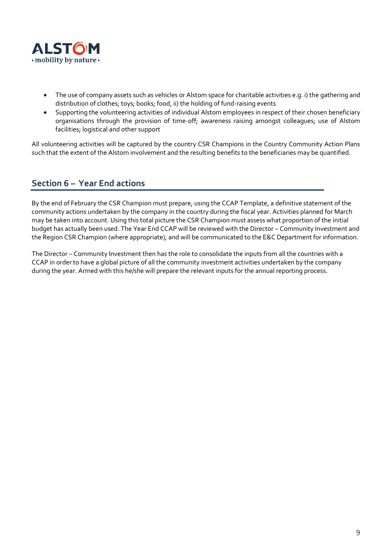

- The use of company assets such as vehicles or Alstom space for charitable activities e.g. i) the gathering and distribution of clothes; toys; books; food, ii) the holding of fund-raising events
- Supporting the volunteering activities of individual Alstom employees in respect of their chosen beneficiary organisations through the provision of time-off; awareness raising amongst colleagues; use of Alstom facilities; logistical and other support

All volunteering activities will be captured by the country CSR Champions in the Country Community Action Plans such that the extent of the Alstom involvement and the resulting benefits to the beneficiaries may be quantified.

#### <span id="page-8-0"></span>**Section 6 – Year End actions**

By the end of February the CSR Champion must prepare, using the CCAP Template, a definitive statement of the community actions undertaken by the company in the country during the fiscal year. Activities planned for March may be taken into account. Using this total picture the CSR Champion must assess what proportion of the initial budget has actually been used. The Year End CCAP will be reviewed with the Director – Community Investment and the Region CSR Champion (where appropriate), and will be communicated to the E&C Department for information.

The Director – Community Investment then has the role to consolidate the inputs from all the countries with a CCAP in order to have a global picture of all the community investment activities undertaken by the company during the year. Armed with this he/she will prepare the relevant inputs for the annual reporting process.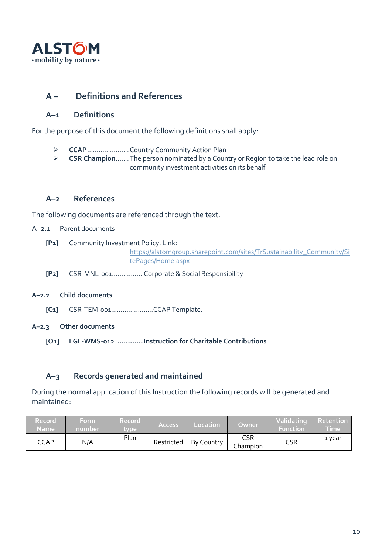

#### <span id="page-9-0"></span>**A – Definitions and References**

#### <span id="page-9-1"></span>**A–1 Definitions**

For the purpose of this document the following definitions shall apply:

- ➢ **CCAP**......................Country Community Action Plan
- ➢ **CSR Champion**.......The person nominated by a Country or Region to take the lead role on community investment activities on its behalf

#### <span id="page-9-2"></span>**A–2 References**

The following documents are referenced through the text.

- A–2.1 Parent documents
	- **[P1]** Community Investment Policy. Link:
		- [https://alstomgroup.sharepoint.com/sites/TrSustainability\\_Community/Si](https://alstomgroup.sharepoint.com/sites/TrSustainability_Community/SitePages/Home.aspx) [tePages/Home.aspx](https://alstomgroup.sharepoint.com/sites/TrSustainability_Community/SitePages/Home.aspx)
	- **[P2]** CSR-MNL-001................ Corporate & Social Responsibility
- **A–2.2 Child documents**
	- **[C1]** CSR-TEM-001………….………CCAP Template.
- **A–2.3 Other documents**
	- **[O1] LGL-WMS-012 ............Instruction for Charitable Contributions**

#### <span id="page-9-3"></span>**A–3 Records generated and maintained**

During the normal application of this Instruction the following records will be generated and maintained:

| <b>Record</b><br><b>Name</b> | Form<br>mumber' | <b>Record</b><br>tvpe | <b>Access</b> | Location   | Owner           | Validating<br><b>Function</b> | <b>Retention</b><br><u>Fime</u> |
|------------------------------|-----------------|-----------------------|---------------|------------|-----------------|-------------------------------|---------------------------------|
| <b>CCAP</b>                  | N/A             | Plan                  | Restricted    | By Country | CSR<br>Champion | CSR                           | 1 year                          |